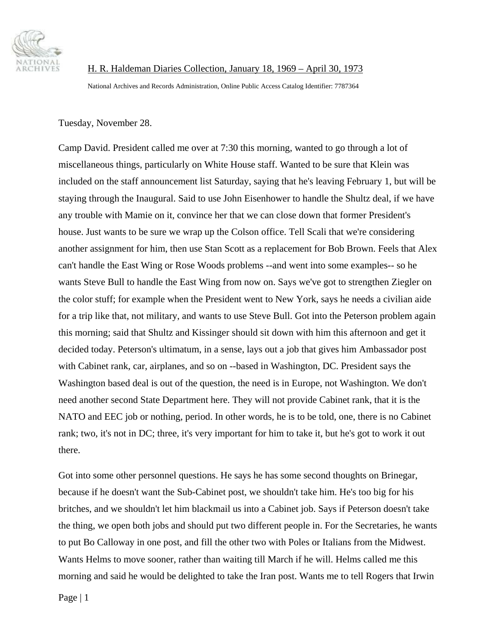

 H. R. Haldeman Diaries Collection, January 18, 1969 – April 30, 1973 National Archives and Records Administration, Online Public Access Catalog Identifier: 7787364

Tuesday, November 28.

Camp David. President called me over at 7:30 this morning, wanted to go through a lot of miscellaneous things, particularly on White House staff. Wanted to be sure that Klein was included on the staff announcement list Saturday, saying that he's leaving February 1, but will be staying through the Inaugural. Said to use John Eisenhower to handle the Shultz deal, if we have any trouble with Mamie on it, convince her that we can close down that former President's house. Just wants to be sure we wrap up the Colson office. Tell Scali that we're considering another assignment for him, then use Stan Scott as a replacement for Bob Brown. Feels that Alex can't handle the East Wing or Rose Woods problems --and went into some examples-- so he wants Steve Bull to handle the East Wing from now on. Says we've got to strengthen Ziegler on the color stuff; for example when the President went to New York, says he needs a civilian aide for a trip like that, not military, and wants to use Steve Bull. Got into the Peterson problem again this morning; said that Shultz and Kissinger should sit down with him this afternoon and get it decided today. Peterson's ultimatum, in a sense, lays out a job that gives him Ambassador post with Cabinet rank, car, airplanes, and so on --based in Washington, DC. President says the Washington based deal is out of the question, the need is in Europe, not Washington. We don't need another second State Department here. They will not provide Cabinet rank, that it is the NATO and EEC job or nothing, period. In other words, he is to be told, one, there is no Cabinet rank; two, it's not in DC; three, it's very important for him to take it, but he's got to work it out there.

Got into some other personnel questions. He says he has some second thoughts on Brinegar, because if he doesn't want the Sub-Cabinet post, we shouldn't take him. He's too big for his britches, and we shouldn't let him blackmail us into a Cabinet job. Says if Peterson doesn't take the thing, we open both jobs and should put two different people in. For the Secretaries, he wants to put Bo Calloway in one post, and fill the other two with Poles or Italians from the Midwest. Wants Helms to move sooner, rather than waiting till March if he will. Helms called me this morning and said he would be delighted to take the Iran post. Wants me to tell Rogers that Irwin

Page | 1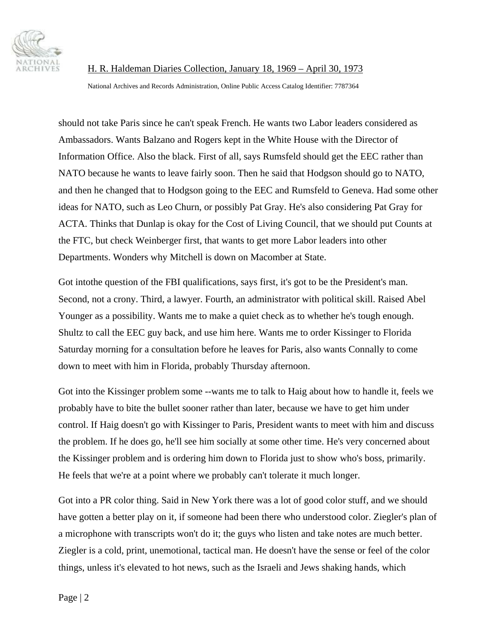

National Archives and Records Administration, Online Public Access Catalog Identifier: 7787364

should not take Paris since he can't speak French. He wants two Labor leaders considered as Ambassadors. Wants Balzano and Rogers kept in the White House with the Director of Information Office. Also the black. First of all, says Rumsfeld should get the EEC rather than NATO because he wants to leave fairly soon. Then he said that Hodgson should go to NATO, and then he changed that to Hodgson going to the EEC and Rumsfeld to Geneva. Had some other ideas for NATO, such as Leo Churn, or possibly Pat Gray. He's also considering Pat Gray for ACTA. Thinks that Dunlap is okay for the Cost of Living Council, that we should put Counts at the FTC, but check Weinberger first, that wants to get more Labor leaders into other Departments. Wonders why Mitchell is down on Macomber at State.

Got into the question of the FBI qualifications, says first, it's got to be the President's man. Second, not a crony. Third, a lawyer. Fourth, an administrator with political skill. Raised Abel Younger as a possibility. Wants me to make a quiet check as to whether he's tough enough. Shultz to call the EEC guy back, and use him here. Wants me to order Kissinger to Florida Saturday morning for a consultation before he leaves for Paris, also wants Connally to come down to meet with him in Florida, probably Thursday afternoon.

Got into the Kissinger problem some --wants me to talk to Haig about how to handle it, feels we probably have to bite the bullet sooner rather than later, because we have to get him under control. If Haig doesn't go with Kissinger to Paris, President wants to meet with him and discuss the problem. If he does go, he'll see him socially at some other time. He's very concerned about the Kissinger problem and is ordering him down to Florida just to show who's boss, primarily. He feels that we're at a point where we probably can't tolerate it much longer.

Got into a PR color thing. Said in New York there was a lot of good color stuff, and we should have gotten a better play on it, if someone had been there who understood color. Ziegler's plan of a microphone with transcripts won't do it; the guys who listen and take notes are much better. Ziegler is a cold, print, unemotional, tactical man. He doesn't have the sense or feel of the color things, unless it's elevated to hot news, such as the Israeli and Jews shaking hands, which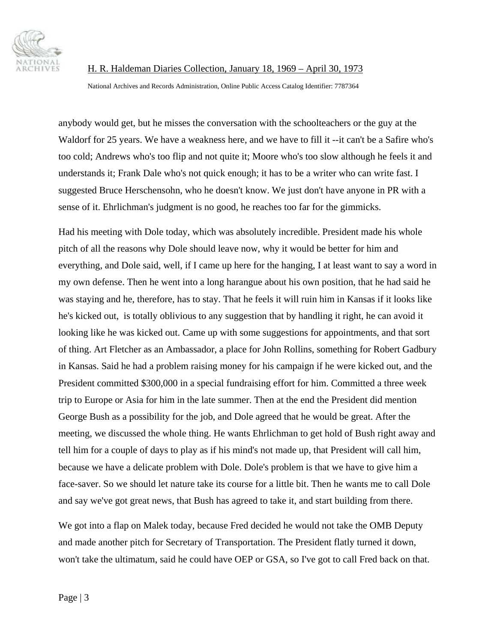

National Archives and Records Administration, Online Public Access Catalog Identifier: 7787364

anybody would get, but he misses the conversation with the schoolteachers or the guy at the Waldorf for 25 years. We have a weakness here, and we have to fill it --it can't be a Safire who's too cold; Andrews who's too flip and not quite it; Moore who's too slow although he feels it and understands it; Frank Dale who's not quick enough; it has to be a writer who can write fast. I suggested Bruce Herschensohn, who he doesn't know. We just don't have anyone in PR with a sense of it. Ehrlichman's judgment is no good, he reaches too far for the gimmicks.

Had his meeting with Dole today, which was absolutely incredible. President made his whole pitch of all the reasons why Dole should leave now, why it would be better for him and everything, and Dole said, well, if I came up here for the hanging, I at least want to say a word in my own defense. Then he went into a long harangue about his own position, that he had said he was staying and he, therefore, has to stay. That he feels it will ruin him in Kansas if it looks like he's kicked out, is totally oblivious to any suggestion that by handling it right, he can avoid it looking like he was kicked out. Came up with some suggestions for appointments, and that sort of thing. Art Fletcher as an Ambassador, a place for John Rollins, something for Robert Gadbury in Kansas. Said he had a problem raising money for his campaign if he were kicked out, and the President committed \$300,000 in a special fundraising effort for him. Committed a three week trip to Europe or Asia for him in the late summer. Then at the end the President did mention George Bush as a possibility for the job, and Dole agreed that he would be great. After the meeting, we discussed the whole thing. He wants Ehrlichman to get hold of Bush right away and tell him for a couple of days to play as if his mind's not made up, that President will call him, because we have a delicate problem with Dole. Dole's problem is that we have to give him a face-saver. So we should let nature take its course for a little bit. Then he wants me to call Dole and say we've got great news, that Bush has agreed to take it, and start building from there.

We got into a flap on Malek today, because Fred decided he would not take the OMB Deputy and made another pitch for Secretary of Transportation. The President flatly turned it down, won't take the ultimatum, said he could have OEP or GSA, so I've got to call Fred back on that.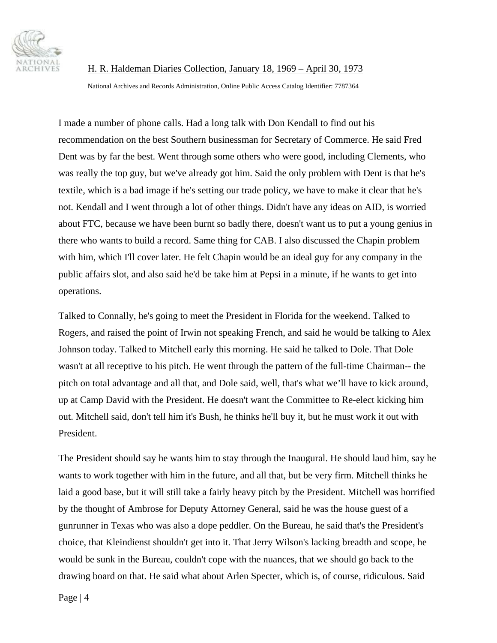

National Archives and Records Administration, Online Public Access Catalog Identifier: 7787364

I made a number of phone calls. Had a long talk with Don Kendall to find out his recommendation on the best Southern businessman for Secretary of Commerce. He said Fred Dent was by far the best. Went through some others who were good, including Clements, who was really the top guy, but we've already got him. Said the only problem with Dent is that he's textile, which is a bad image if he's setting our trade policy, we have to make it clear that he's not. Kendall and I went through a lot of other things. Didn't have any ideas on AID, is worried about FTC, because we have been burnt so badly there, doesn't want us to put a young genius in there who wants to build a record. Same thing for CAB. I also discussed the Chapin problem with him, which I'll cover later. He felt Chapin would be an ideal guy for any company in the public affairs slot, and also said he'd be take him at Pepsi in a minute, if he wants to get into operations.

Talked to Connally, he's going to meet the President in Florida for the weekend. Talked to Rogers, and raised the point of Irwin not speaking French, and said he would be talking to Alex Johnson today. Talked to Mitchell early this morning. He said he talked to Dole. That Dole wasn't at all receptive to his pitch. He went through the pattern of the full-time Chairman-- the pitch on total advantage and all that, and Dole said, well, that's what we'll have to kick around, up at Camp David with the President. He doesn't want the Committee to Re-elect kicking him out. Mitchell said, don't tell him it's Bush, he thinks he'll buy it, but he must work it out with President.

The President should say he wants him to stay through the Inaugural. He should laud him, say he wants to work together with him in the future, and all that, but be very firm. Mitchell thinks he laid a good base, but it will still take a fairly heavy pitch by the President. Mitchell was horrified by the thought of Ambrose for Deputy Attorney General, said he was the house guest of a gunrunner in Texas who was also a dope peddler. On the Bureau, he said that's the President's choice, that Kleindienst shouldn't get into it. That Jerry Wilson's lacking breadth and scope, he would be sunk in the Bureau, couldn't cope with the nuances, that we should go back to the drawing board on that. He said what about Arlen Specter, which is, of course, ridiculous. Said

Page | 4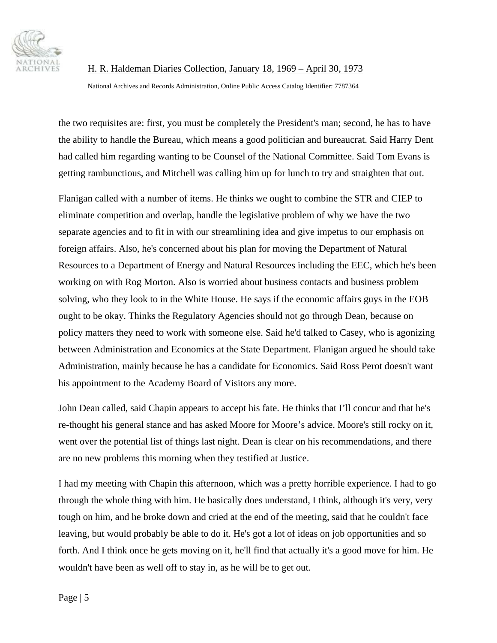

National Archives and Records Administration, Online Public Access Catalog Identifier: 7787364

the two requisites are: first, you must be completely the President's man; second, he has to have the ability to handle the Bureau, which means a good politician and bureaucrat. Said Harry Dent had called him regarding wanting to be Counsel of the National Committee. Said Tom Evans is getting rambunctious, and Mitchell was calling him up for lunch to try and straighten that out.

Flanigan called with a number of items. He thinks we ought to combine the STR and CIEP to eliminate competition and overlap, handle the legislative problem of why we have the two separate agencies and to fit in with our streamlining idea and give impetus to our emphasis on foreign affairs. Also, he's concerned about his plan for moving the Department of Natural Resources to a Department of Energy and Natural Resources including the EEC, which he's been working on with Rog Morton. Also is worried about business contacts and business problem solving, who they look to in the White House. He says if the economic affairs guys in the EOB ought to be okay. Thinks the Regulatory Agencies should not go through Dean, because on policy matters they need to work with someone else. Said he'd talked to Casey, who is agonizing between Administration and Economics at the State Department. Flanigan argued he should take Administration, mainly because he has a candidate for Economics. Said Ross Perot doesn't want his appointment to the Academy Board of Visitors any more.

John Dean called, said Chapin appears to accept his fate. He thinks that I'll concur and that he's re-thought his general stance and has asked Moore for Moore's advice. Moore's still rocky on it, went over the potential list of things last night. Dean is clear on his recommendations, and there are no new problems this morning when they testified at Justice.

I had my meeting with Chapin this afternoon, which was a pretty horrible experience. I had to go through the whole thing with him. He basically does understand, I think, although it's very, very tough on him, and he broke down and cried at the end of the meeting, said that he couldn't face leaving, but would probably be able to do it. He's got a lot of ideas on job opportunities and so forth. And I think once he gets moving on it, he'll find that actually it's a good move for him. He wouldn't have been as well off to stay in, as he will be to get out.